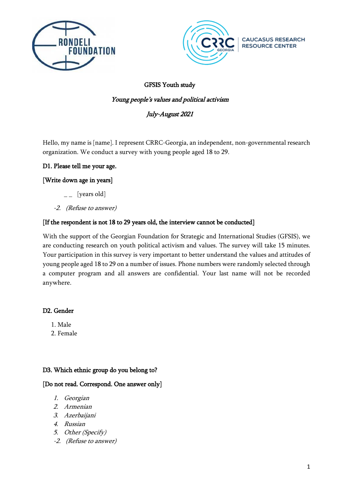



**CAUCASUS RESEARCH** 

**RESOURCE CENTER** 

### GFSIS Youth study

#### Young people's values and political activism

### July-August 2021

Hello, my name is [name]. I represent CRRC-Georgia, an independent, non-governmental research organization. We conduct a survey with young people aged 18 to 29.

#### D1. Please tell me your age.

#### [Write down age in years]

- $\overline{\phantom{a}}$  [years old]
- -2. (Refuse to answer)

#### [If the respondent is not 18 to 29 years old, the interview cannot be conducted]

With the support of the Georgian Foundation for Strategic and International Studies (GFSIS), we are conducting research on youth political activism and values. The survey will take 15 minutes. Your participation in this survey is very important to better understand the values and attitudes of young people aged 18 to 29 on a number of issues. Phone numbers were randomly selected through a computer program and all answers are confidential. Your last name will not be recorded anywhere.

#### D2. Gender

- 1. Male
- 2. Female

#### D3. Which ethnic group do you belong to?

#### [Do not read. Correspond. One answer only]

- 1. Georgian
- 2. Armenian
- 3. Azerbaijani
- 4. Russian
- 5. Other (Specify)
- -2. (Refuse to answer)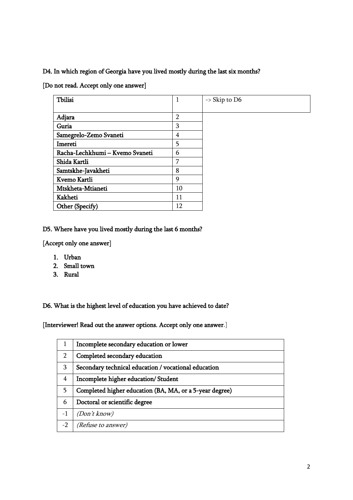#### D4. In which region of Georgia have you lived mostly during the last six months?

[Do not read. Accept only one answer]

| Tbilisi                         | 1              | $\rightarrow$ Skip to D6 |
|---------------------------------|----------------|--------------------------|
|                                 |                |                          |
| Adjara                          | $\overline{2}$ |                          |
| Guria                           | 3              |                          |
| Samegrelo-Zemo Svaneti          | 4              |                          |
| Imereti                         | 5              |                          |
| Racha-Lechkhumi - Kvemo Svaneti | 6              |                          |
| Shida Kartli                    | 7              |                          |
| Samtskhe-Javakheti              | 8              |                          |
| Kvemo Kartli                    | 9              |                          |
| Mtskheta-Mtianeti               | 10             |                          |
| Kakheti                         | 11             |                          |
| Other (Specify)                 | 12             |                          |

#### D5. Where have you lived mostly during the last 6 months?

[Accept only one answer]

- 1. Urban
- 2. Small town
- 3. Rural

D6. What is the highest level of education you have achieved to date?

[Interviewer! Read out the answer options. Accept only one answer.]

|                | Incomplete secondary education or lower                 |
|----------------|---------------------------------------------------------|
| $\overline{2}$ | Completed secondary education                           |
| 3              | Secondary technical education / vocational education    |
| 4              | Incomplete higher education/Student                     |
| 5.             | Completed higher education (BA, MA, or a 5-year degree) |
| 6              | Doctoral or scientific degree                           |
| $-1$           | (Don't know)                                            |
| $-2$           | (Refuse to answer)                                      |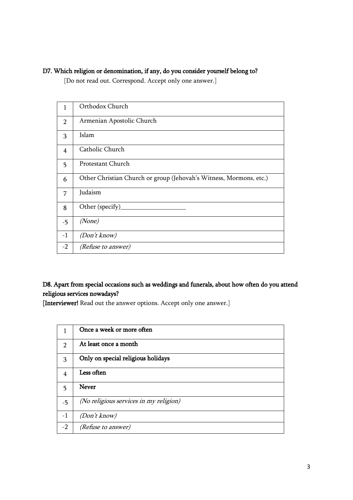### D7. Which religion or denomination, if any, do you consider yourself belong to?

[Do not read out. Correspond. Accept only one answer.]

| 1              | Orthodox Church                                                    |
|----------------|--------------------------------------------------------------------|
| $\overline{2}$ | Armenian Apostolic Church                                          |
| 3              | Islam                                                              |
| $\overline{4}$ | Catholic Church                                                    |
| 5              | Protestant Church                                                  |
| 6              | Other Christian Church or group (Jehovah's Witness, Mormons, etc.) |
| 7              | Judaism                                                            |
| 8              | Other (specify)                                                    |
| $-5$           | (None)                                                             |
| $-1$           | (Don't know)                                                       |
| $-2$           | <i>(Refuse to answer)</i>                                          |

## D8. Apart from special occasions such as weddings and funerals, about how often do you attend religious services nowadays?

[Interviewer! Read out the answer options. Accept only one answer.]

| 1             | Once a week or more often              |
|---------------|----------------------------------------|
| $\mathcal{P}$ | At least once a month                  |
| 3             | Only on special religious holidays     |
| 4             | Less often                             |
| 5             | <b>Never</b>                           |
| $-5$          | (No religious services in my religion) |
| $-1$          | (Don't know)                           |
| $-2$          | (Refuse to answer)                     |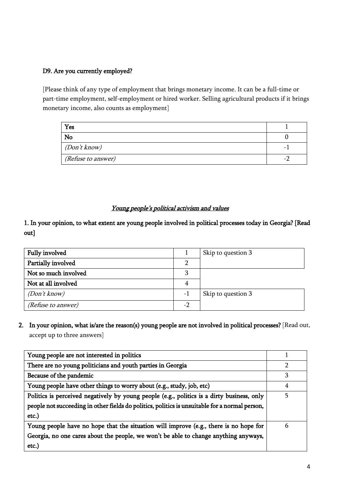#### D9. Are you currently employed?

[Please think of any type of employment that brings monetary income. It can be a full-time or part-time employment, self-employment or hired worker. Selling agricultural products if it brings monetary income, also counts as employment]

| Yes                       |   |
|---------------------------|---|
| No                        |   |
| (Don't know)              | - |
| <i>(Refuse to answer)</i> |   |

### Young people's political activism and values

1. In your opinion, to what extent are young people involved in political processes today in Georgia? [Read out]

| Fully involved            |    | Skip to question 3 |
|---------------------------|----|--------------------|
| Partially involved        |    |                    |
| Not so much involved      |    |                    |
| Not at all involved       |    |                    |
| (Don't know)              | -1 | Skip to question 3 |
| <i>(Refuse to answer)</i> |    |                    |

2. In your opinion, what is/are the reason(s) young people are not involved in political processes? [Read out, accept up to three answers]

| Young people are not interested in politics                                                    |   |
|------------------------------------------------------------------------------------------------|---|
| There are no young politicians and youth parties in Georgia                                    | 2 |
| Because of the pandemic                                                                        | 3 |
| Young people have other things to worry about (e.g., study, job, etc)                          | 4 |
| Politics is perceived negatively by young people (e.g., politics is a dirty business, only     | 5 |
| people not succeeding in other fields do politics, politics is unsuitable for a normal person, |   |
| etc.)                                                                                          |   |
| Young people have no hope that the situation will improve (e.g., there is no hope for          | 6 |
| Georgia, no one cares about the people, we won't be able to change anything anyways,           |   |
| etc.                                                                                           |   |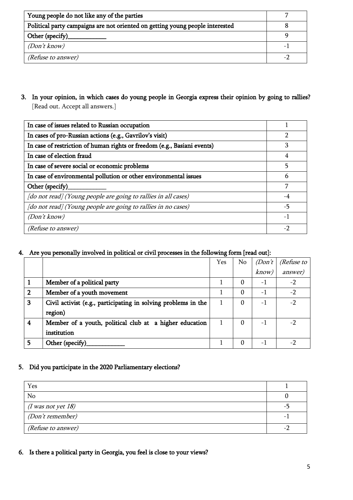| Young people do not like any of the parties                                   |  |
|-------------------------------------------------------------------------------|--|
| Political party campaigns are not oriented on getting young people interested |  |
| Other (specify)                                                               |  |
| (Don't know)                                                                  |  |
| <i>(Refuse to answer)</i>                                                     |  |

3. In your opinion, in which cases do young people in Georgia express their opinion by going to rallies? [Read out. Accept all answers.]

| In case of issues related to Russian occupation                          |      |
|--------------------------------------------------------------------------|------|
| In cases of pro-Russian actions (e.g., Gavrilov's visit)                 |      |
| In case of restriction of human rights or freedom (e.g., Basiani events) | З    |
| In case of election fraud                                                | 4    |
| In case of severe social or economic problems                            |      |
| In case of environmental pollution or other environmental issues         |      |
| Other (specify)                                                          |      |
| [do not read] (Young people are going to rallies in all cases)           | $-4$ |
| [do not read] (Young people are going to rallies in no cases)            | -5   |
| (Don't know)                                                             | $-1$ |
| <i>(Refuse to answer)</i>                                                | $-2$ |

## 4. Are you personally involved in political or civil processes in the following form [read out]:

|   |                                                                | Yes | No.      | (Don't) | (Refuse to |
|---|----------------------------------------------------------------|-----|----------|---------|------------|
|   |                                                                |     |          | know)   | answer)    |
|   | Member of a political party                                    |     | 0        | $-1$    | $-2$       |
| 2 | Member of a youth movement                                     |     | $\Omega$ | $-1$    | $-2$       |
| 3 | Civil activist (e.g., participating in solving problems in the |     | 0        | $-1$    | $-2$       |
|   | region)                                                        |     |          |         |            |
| 4 | Member of a youth, political club at a higher education        |     | $\Omega$ | $-1$    |            |
|   | institution                                                    |     |          |         |            |
| 5 | Other (specify)                                                |     | 0        | -1      |            |

#### 5. Did you participate in the 2020 Parliamentary elections?

| Yes                       |  |
|---------------------------|--|
| No                        |  |
| $(I$ was not yet 18)      |  |
| (Don't remember)          |  |
| <i>(Refuse to answer)</i> |  |

6. Is there a political party in Georgia, you feel is close to your views?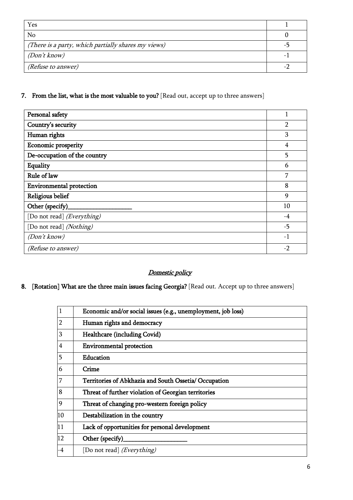| Yes                                                 |  |
|-----------------------------------------------------|--|
| No                                                  |  |
| (There is a party, which partially shares my views) |  |
| (Don't know)                                        |  |
| (Refuse to answer)                                  |  |

# 7. From the list, what is the most valuable to you? [Read out, accept up to three answers]

| Personal safety                 |                |
|---------------------------------|----------------|
| Country's security              | $\overline{2}$ |
| Human rights                    | 3              |
| Economic prosperity             | 4              |
| De-occupation of the country    | 5              |
| Equality                        | 6              |
| Rule of law                     | 7              |
| <b>Environmental protection</b> | 8              |
| Religious belief                | 9              |
| Other (specify)                 | 10             |
| [Do not read] (Everything)      | -4             |
| [Do not read] (Nothing)         | $-5$           |
| (Don't know)                    | $-1$           |
| (Refuse to answer)              | $-2$           |

## Domestic policy

# 8. [Rotation] What are the three main issues facing Georgia? [Read out. Accept up to three answers]

|                         | Economic and/or social issues (e.g., unemployment, job loss) |
|-------------------------|--------------------------------------------------------------|
| 2                       | Human rights and democracy                                   |
| 3                       | Healthcare (including Covid)                                 |
| $\overline{\mathbf{4}}$ | <b>Environmental protection</b>                              |
| 5                       | Education                                                    |
| 6                       | Crime                                                        |
| 7                       | Territories of Abkhazia and South Ossetia/ Occupation        |
| 8                       | Threat of further violation of Georgian territories          |
| 9                       | Threat of changing pro-western foreign policy                |
| 10                      | Destabilization in the country                               |
| 11                      | Lack of opportunities for personal development               |
| 12                      | Other (specify)                                              |
| -4                      | [Do not read] ( <i>Everything</i> )                          |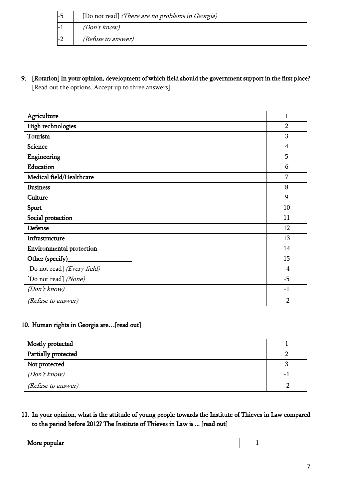| [Do not read] (There are no problems in Georgia) |
|--------------------------------------------------|
| (Don't know)                                     |
| (Refuse to answer)                               |

9. [Rotation] In your opinion, development of which field should the government support in the first place?

[Read out the options. Accept up to three answers]

| Agriculture                     | $\mathbf{1}$   |
|---------------------------------|----------------|
| High technologies               | $\overline{2}$ |
| Tourism                         | 3              |
| <b>Science</b>                  | $\overline{4}$ |
| Engineering                     | 5              |
| Education                       | 6              |
| Medical field/Healthcare        | 7              |
| <b>Business</b>                 | 8              |
| Culture                         | 9              |
| Sport                           | 10             |
| Social protection               | 11             |
| Defense                         | 12             |
| Infrastructure                  | 13             |
| <b>Environmental protection</b> | 14             |
| Other (specify)                 | 15             |
| [Do not read] (Every field)     | $-4$           |
| [Do not read] (None)            | $-5$           |
| (Don't know)                    | $-1$           |
| (Refuse to answer)              | $-2$           |

### 10. Human rights in Georgia are…[read out]

| Mostly protected    |   |
|---------------------|---|
| Partially protected |   |
| Not protected       |   |
| (Don't know)        | - |
| (Refuse to answer)  |   |

11. In your opinion, what is the attitude of young people towards the Institute of Thieves in Law compared to the period before 2012? The Institute of Thieves in Law is ... [read out]

| N<br>$\ddotsc$ |  |
|----------------|--|
|                |  |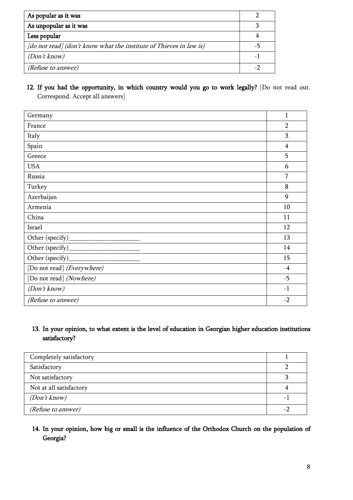| As popular as it was                                               |  |
|--------------------------------------------------------------------|--|
| As unpopular as it was                                             |  |
| Less popular                                                       |  |
| [do not read] (don't know what the institute of Thieves in law is) |  |
| (Don't know)                                                       |  |
| (Refuse to answer)                                                 |  |

12. If you had the opportunity, in which country would you go to work legally? [Do not read out. Correspond. Accept all answers]

| Germany                    | $\mathbf{1}$   |
|----------------------------|----------------|
| France                     | $\overline{2}$ |
| Italy                      | 3              |
| Spain                      | $\overline{4}$ |
| Greece                     | 5              |
| <b>USA</b>                 | 6              |
| Russia                     | 7              |
| Turkey                     | 8              |
| Azerbaijan                 | 9              |
| Armenia                    | 10             |
| China                      | 11             |
| Israel                     | 12             |
| Other (specify)            | 13             |
| Other (specify)_           | 14             |
| Other (specify)            | 15             |
| [Do not read] (Everywhere) | $-4$           |
| [Do not read] (Nowhere)    | $-5$           |
| (Don't know)               | $-1$           |
| (Refuse to answer)         | $-2$           |

### 13. In your opinion, to what extent is the level of education in Georgian higher education institutions satisfactory?

| Completely satisfactory |  |
|-------------------------|--|
| Satisfactory            |  |
| Not satisfactory        |  |
| Not at all satisfactory |  |
| (Don't know)            |  |
| (Refuse to answer)      |  |

### 14. In your opinion, how big or small is the influence of the Orthodox Church on the population of Georgia?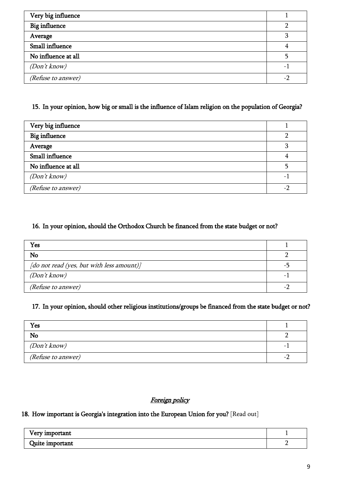| Very big influence   |  |
|----------------------|--|
| <b>Big influence</b> |  |
| Average              |  |
| Small influence      |  |
| No influence at all  |  |
| (Don't know)         |  |
| (Refuse to answer)   |  |

## 15. In your opinion, how big or small is the influence of Islam religion on the population of Georgia?

| Very big influence   |   |
|----------------------|---|
| <b>Big influence</b> |   |
| Average              |   |
| Small influence      |   |
| No influence at all  |   |
| (Don't know)         | - |
| (Refuse to answer)   |   |

## 16. In your opinion, should the Orthodox Church be financed from the state budget or not?

| Yes                                       |  |
|-------------------------------------------|--|
| No                                        |  |
| [do not read (yes, but with less amount)] |  |
| (Don't know)                              |  |
| (Refuse to answer)                        |  |

### 17. In your opinion, should other religious institutions/groups be financed from the state budget or not?

| Yes                       |   |
|---------------------------|---|
| No                        |   |
| (Don't know)              | - |
| <i>(Refuse to answer)</i> |   |

### Foreign policy

#### 18. How important is Georgia's integration into the European Union for you? [Read out]

| Very important  |  |
|-----------------|--|
| Quite important |  |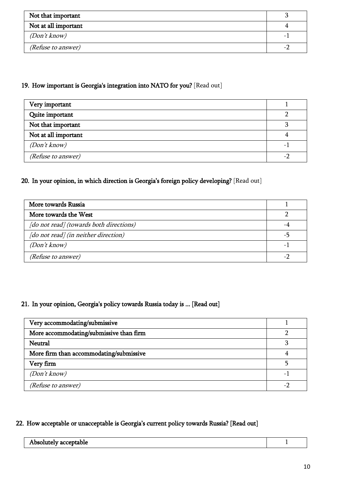| Not that important        |   |
|---------------------------|---|
| Not at all important      |   |
| (Don't know)              | - |
| <i>(Refuse to answer)</i> |   |

### 19. How important is Georgia's integration into NATO for you? [Read out]

| Very important            |  |
|---------------------------|--|
| Quite important           |  |
| Not that important        |  |
| Not at all important      |  |
| (Don't know)              |  |
| <i>(Refuse to answer)</i> |  |

# 20. In your opinion, in which direction is Georgia's foreign policy developing? [Read out]

| More towards Russia                     |  |
|-----------------------------------------|--|
| More towards the West                   |  |
| [do not read] (towards both directions) |  |
| [do not read] (in neither direction)    |  |
| (Don't know)                            |  |
| <i>(Refuse to answer)</i>               |  |

## 21. In your opinion, Georgia's policy towards Russia today is ... [Read out]

| Very accommodating/submissive           |  |
|-----------------------------------------|--|
| More accommodating/submissive than firm |  |
| <b>Neutral</b>                          |  |
| More firm than accommodating/submissive |  |
| Very firm                               |  |
| (Don't know)                            |  |
| <i>(Refuse to answer)</i>               |  |

## 22. How acceptable or unacceptable is Georgia's current policy towards Russia? [Read out]

| والممدم المرمولية<br>UК<br>table<br>onne<br>.<br>. |  |
|----------------------------------------------------|--|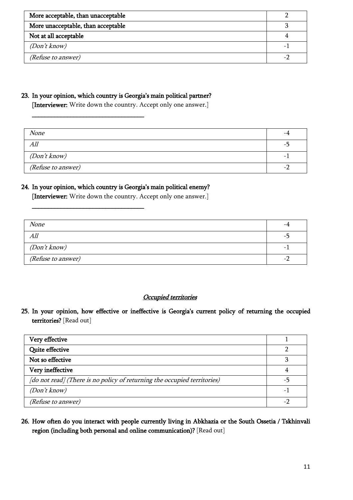| More acceptable, than unacceptable |  |
|------------------------------------|--|
| More unacceptable, than acceptable |  |
| Not at all acceptable              |  |
| (Don't know)                       |  |
| <i>(Refuse to answer)</i>          |  |

#### 23. In your opinion, which country is Georgia's main political partner?

\_\_\_\_\_\_\_\_\_\_\_\_\_\_\_\_\_\_\_\_\_\_\_\_\_\_\_\_\_\_\_\_\_\_\_

\_\_\_\_\_\_\_\_\_\_\_\_\_\_\_\_\_\_\_\_\_\_\_\_\_\_\_\_\_\_\_\_\_\_\_

[Interviewer: Write down the country. Accept only one answer.]

| None                      |                          |
|---------------------------|--------------------------|
| All                       | - 1                      |
| (Don't know)              | $\overline{\phantom{m}}$ |
| <i>(Refuse to answer)</i> | $\overline{\phantom{0}}$ |

#### 24. In your opinion, which country is Georgia's main political enemy?

[Interviewer: Write down the country. Accept only one answer.]

| <b>None</b>               |                          |
|---------------------------|--------------------------|
| All                       | $-1$                     |
| <i>(Don't know)</i>       | $\overline{\phantom{0}}$ |
| <i>(Refuse to answer)</i> | $\overline{\phantom{0}}$ |

#### Occupied territories

25. In your opinion, how effective or ineffective is Georgia's current policy of returning the occupied territories? [Read out]

| Very effective                                                           |  |
|--------------------------------------------------------------------------|--|
| Quite effective                                                          |  |
| Not so effective                                                         |  |
| Very ineffective                                                         |  |
| [do not read] (There is no policy of returning the occupied territories) |  |
| (Don't know)                                                             |  |
| (Refuse to answer)                                                       |  |

### 26. How often do you interact with people currently living in Abkhazia or the South Ossetia / Tskhinvali region (including both personal and online communication)? [Read out]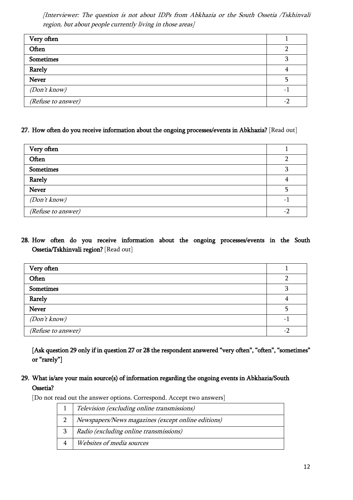[Interviewer: The question is not about IDPs from Abkhazia or the South Ossetia /Tskhinvali region, but about people currently living in those areas]

| Very often         |   |
|--------------------|---|
| Often              |   |
| Sometimes          |   |
| Rarely             |   |
| <b>Never</b>       |   |
| (Don't know)       | - |
| (Refuse to answer) |   |

#### 27. How often do you receive information about the ongoing processes/events in Abkhazia? [Read out]

| Very often         |                          |
|--------------------|--------------------------|
| Often              |                          |
| <b>Sometimes</b>   | רי                       |
| Rarely             |                          |
| <b>Never</b>       |                          |
| (Don't know)       | $\overline{\phantom{0}}$ |
| (Refuse to answer) | $-2$                     |

### 28. How often do you receive information about the ongoing processes/events in the South Ossetia/Tskhinvali region? [Read out]

| Very often         |     |
|--------------------|-----|
| Often              |     |
| <b>Sometimes</b>   |     |
| Rarely             |     |
| <b>Never</b>       |     |
| (Don't know)       | - 1 |
| (Refuse to answer) |     |

[Ask question 29 only if in question 27 or 28 the respondent answered "very often", "often", "sometimes" or "rarely"]

### 29. What is/are your main source(s) of information regarding the ongoing events in Abkhazia/South Ossetia?

[Do not read out the answer options. Correspond. Accept two answers]

| Television (excluding online transmissions)        |
|----------------------------------------------------|
| Newspapers/News magazines (except online editions) |
| Radio (excluding online transmissions)             |
| Websites of media sources                          |